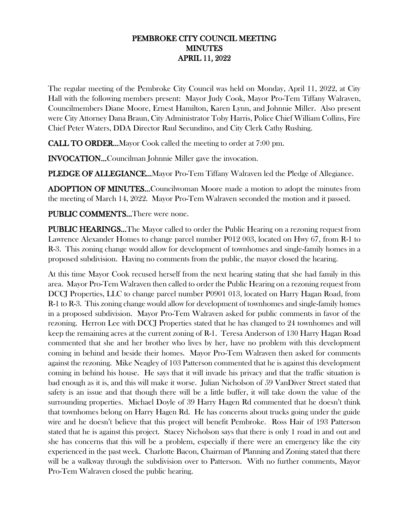## PEMBROKE CITY COUNCIL MEETING MINUTES APRIL 11, 2022

The regular meeting of the Pembroke City Council was held on Monday, April 11, 2022, at City Hall with the following members present: Mayor Judy Cook, Mayor Pro-Tem Tiffany Walraven, Councilmembers Diane Moore, Ernest Hamilton, Karen Lynn, and Johnnie Miller. Also present were City Attorney Dana Braun, City Administrator Toby Harris, Police Chief William Collins, Fire Chief Peter Waters, DDA Director Raul Secundino, and City Clerk Cathy Rushing.

CALL TO ORDER…Mayor Cook called the meeting to order at 7:00 pm.

INVOCATION…Councilman Johnnie Miller gave the invocation.

PLEDGE OF ALLEGIANCE...Mayor Pro-Tem Tiffany Walraven led the Pledge of Allegiance.

ADOPTION OF MINUTES…Councilwoman Moore made a motion to adopt the minutes from the meeting of March 14, 2022. Mayor Pro-Tem Walraven seconded the motion and it passed.

## PUBLIC COMMENTS…There were none.

**PUBLIC HEARINGS...** The Mayor called to order the Public Hearing on a rezoning request from Lawrence Alexander Homes to change parcel number P012 003, located on Hwy 67, from R-1 to R-3. This zoning change would allow for development of townhomes and single-family homes in a proposed subdivision. Having no comments from the public, the mayor closed the hearing.

At this time Mayor Cook recused herself from the next hearing stating that she had family in this area. Mayor Pro-Tem Walraven then called to order the Public Hearing on a rezoning request from DCCJ Properties, LLC to change parcel number P0901 013, located on Harry Hagan Road, from R-1 to R-3. This zoning change would allow for development of townhomes and single-family homes in a proposed subdivision. Mayor Pro-Tem Walraven asked for public comments in favor of the rezoning. Herron Lee with DCCJ Properties stated that he has changed to 24 townhomes and will keep the remaining acres at the current zoning of R-1. Teresa Anderson of 130 Harry Hagan Road commented that she and her brother who lives by her, have no problem with this development coming in behind and beside their homes. Mayor Pro-Tem Walraven then asked for comments against the rezoning. Mike Neagley of 103 Patterson commented that he is against this development coming in behind his house. He says that it will invade his privacy and that the traffic situation is bad enough as it is, and this will make it worse. Julian Nicholson of 59 VanDiver Street stated that safety is an issue and that though there will be a little buffer, it will take down the value of the surrounding properties. Michael Doyle of 39 Harry Hagen Rd commented that he doesn't think that townhomes belong on Harry Hagen Rd. He has concerns about trucks going under the guide wire and he doesn't believe that this project will benefit Pembroke. Ross Hair of 193 Patterson stated that he is against this project. Stacey Nicholson says that there is only 1 road in and out and she has concerns that this will be a problem, especially if there were an emergency like the city experienced in the past week. Charlotte Bacon, Chairman of Planning and Zoning stated that there will be a walkway through the subdivision over to Patterson. With no further comments, Mayor Pro-Tem Walraven closed the public hearing.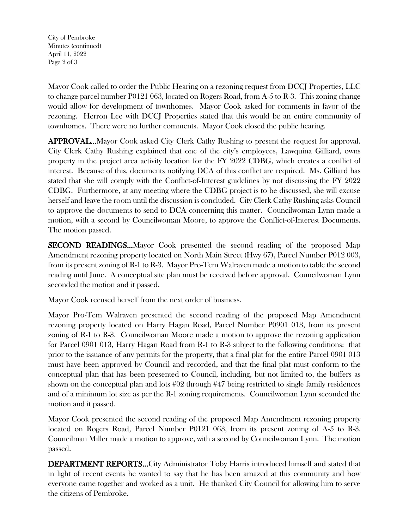City of Pembroke Minutes (continued) April 11, 2022 Page 2 of 3

Mayor Cook called to order the Public Hearing on a rezoning request from DCCJ Properties, LLC to change parcel number P0121 063, located on Rogers Road, from A-5 to R-3. This zoning change would allow for development of townhomes. Mayor Cook asked for comments in favor of the rezoning. Herron Lee with DCCJ Properties stated that this would be an entire community of townhomes. There were no further comments. Mayor Cook closed the public hearing.

APPROVAL…Mayor Cook asked City Clerk Cathy Rushing to present the request for approval. City Clerk Cathy Rushing explained that one of the city's employees, Lawquina Gilliard, owns property in the project area activity location for the FY 2022 CDBG, which creates a conflict of interest. Because of this, documents notifying DCA of this conflict are required. Ms. Gilliard has stated that she will comply with the Conflict-of-Interest guidelines by not discussing the FY 2022 CDBG. Furthermore, at any meeting where the CDBG project is to be discussed, she will excuse herself and leave the room until the discussion is concluded. City Clerk Cathy Rushing asks Council to approve the documents to send to DCA concerning this matter. Councilwoman Lynn made a motion, with a second by Councilwoman Moore, to approve the Conflict-of-Interest Documents. The motion passed.

SECOND READINGS…Mayor Cook presented the second reading of the proposed Map Amendment rezoning property located on North Main Street (Hwy 67), Parcel Number P012 003, from its present zoning of R-1 to R-3. Mayor Pro-Tem Walraven made a motion to table the second reading until June. A conceptual site plan must be received before approval. Councilwoman Lynn seconded the motion and it passed.

Mayor Cook recused herself from the next order of business.

Mayor Pro-Tem Walraven presented the second reading of the proposed Map Amendment rezoning property located on Harry Hagan Road, Parcel Number P0901 013, from its present zoning of R-1 to R-3. Councilwoman Moore made a motion to approve the rezoning application for Parcel 0901 013, Harry Hagan Road from R-1 to R-3 subject to the following conditions: that prior to the issuance of any permits for the property, that a final plat for the entire Parcel 0901 013 must have been approved by Council and recorded, and that the final plat must conform to the conceptual plan that has been presented to Council, including, but not limited to, the buffers as shown on the conceptual plan and lots #02 through #47 being restricted to single family residences and of a minimum lot size as per the R-1 zoning requirements. Councilwoman Lynn seconded the motion and it passed.

Mayor Cook presented the second reading of the proposed Map Amendment rezoning property located on Rogers Road, Parcel Number P0121 063, from its present zoning of A-5 to R-3. Councilman Miller made a motion to approve, with a second by Councilwoman Lynn. The motion passed.

DEPARTMENT REPORTS…City Administrator Toby Harris introduced himself and stated that in light of recent events he wanted to say that he has been amazed at this community and how everyone came together and worked as a unit. He thanked City Council for allowing him to serve the citizens of Pembroke.